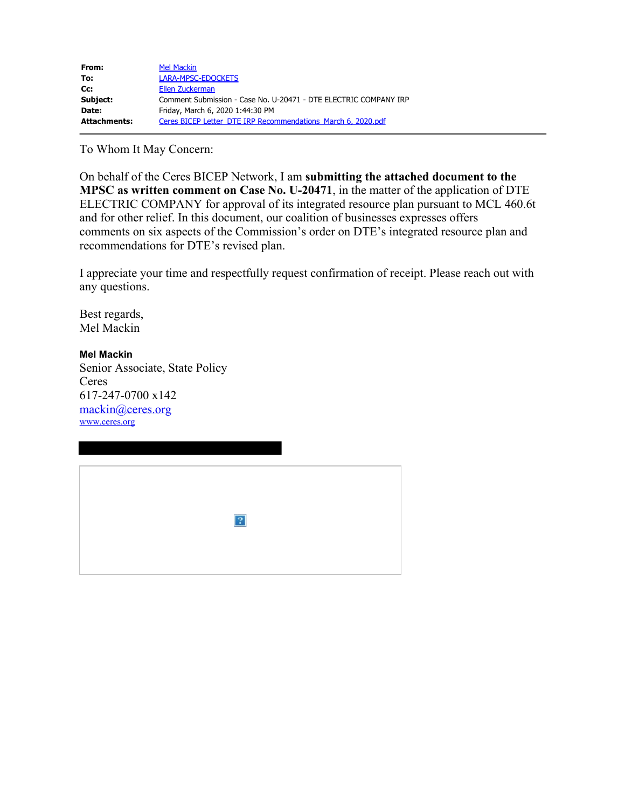| <b>Mel Mackin</b>                                                |
|------------------------------------------------------------------|
| LARA-MPSC-EDOCKETS                                               |
| Ellen Zuckerman                                                  |
| Comment Submission - Case No. U-20471 - DTE ELECTRIC COMPANY IRP |
| Friday, March 6, 2020 1:44:30 PM                                 |
| Ceres BICEP Letter DTE IRP Recommendations March 6, 2020.pdf     |
|                                                                  |

To Whom It May Concern:

On behalf of the Ceres BICEP Network, I am **submitting the attached document to the MPSC as written comment on Case No. U-20471**, in the matter of the application of DTE ELECTRIC COMPANY for approval of its integrated resource plan pursuant to MCL 460.6t and for other relief. In this document, our coalition of businesses expresses offers comments on six aspects of the Commission's order on DTE's integrated resource plan and recommendations for DTE's revised plan.

I appreciate your time and respectfully request confirmation of receipt. Please reach out with any questions.

Best regards, Mel Mackin

**Mel Mackin** Senior Associate, State Policy Ceres 617-247-0700 x142 mackin@ceres.org www.ceres.org

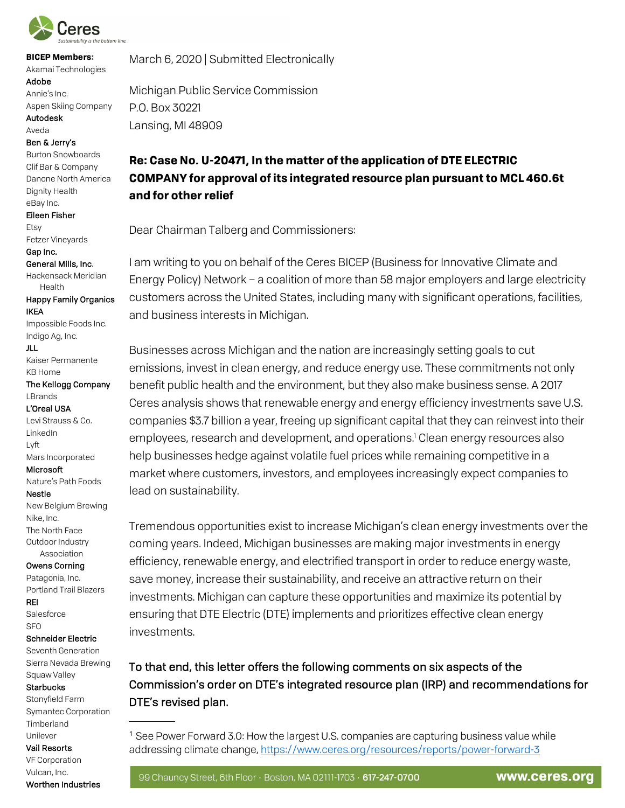

**BICEP Members:** Akamai Technologies Adobe

Annie's Inc. Aspen Skiing Company Autodesk

Aveda

Ben & Jerry's

Burton Snowboards Clif Bar & Company Danone North America Dignity Health eBay Inc.

Eileen Fisher

Etsy Fetzer Vineyards

Gap Inc. General Mills, Inc.

Hackensack Meridian Health

Happy Family Organics IKEA

Impossible Foods Inc. Indigo Ag, Inc.

JLL

Kaiser Permanente KB Home

The Kellogg Company LBrands

L'Oreal USA

Levi Strauss & Co. LinkedIn Lyft

Mars Incorporated Microsoft

Nature's Path Foods

Nestle

New Belgium Brewing Nike, Inc. The North Face Outdoor Industry Association

#### Owens Corning

Patagonia, Inc. Portland Trail Blazers REI Salesforce

SFO

## Schneider Electric

Seventh Generation Sierra Nevada Brewing Squaw Valley

#### **Starbucks**

 Timberland Stonyfield Farm Symantec Corporation Unilever

Vail Resorts VF Corporation Vulcan, Inc.

Worthen Industries

March 6, 2020 | Submitted Electronically

Michigan Public Service Commission P.O. Box 30221 Lansing, MI 48909

# **Re: Case No. U-20471, In the matter of the application of DTE ELECTRIC COMPANY for approval of its integrated resource plan pursuant to MCL 460.6t and for other relief**

Dear Chairman Talberg and Commissioners:

I am writing to you on behalf of the Ceres BICEP (Business for Innovative Climate and Energy Policy) Network – a coalition of more than 58 major employers and large electricity customers across the United States, including many with significant operations, facilities, and business interests in Michigan.

Businesses across Michigan and the nation are increasingly setting goals to cut emissions, invest in clean energy, and reduce energy use. These commitments not only benefit public health and the environment, but they also make business sense. A 2017 Ceres analysis shows that renewable energy and energy efficiency investments save U.S. companies \$3.7 billion a year, freeing up significant capital that they can reinvest into their employees, research and development, and operations. <sup>1</sup> Clean energy resources also help businesses hedge against volatile fuel prices while remaining competitive in a market where customers, investors, and employees increasingly expect companies to lead on sustainability.

Tremendous opportunities exist to increase Michigan's clean energy investments over the coming years. Indeed, Michigan businesses are making major investments in energy efficiency, renewable energy, and electrified transport in order to reduce energy waste, save money, increase their sustainability, and receive an attractive return on their investments. Michigan can capture these opportunities and maximize its potential by ensuring that DTE Electric (DTE) implements and prioritizes effective clean energy investments.

To that end, this letter offers the following comments on six aspects of the Commission's order on DTE's integrated resource plan (IRP) and recommendations for DTE's revised plan.

<sup>1</sup> See Power Forward 3.0: How the largest U.S. companies are capturing business value while addressing climate change, https://www.ceres.org/resources/reports/power-forward-3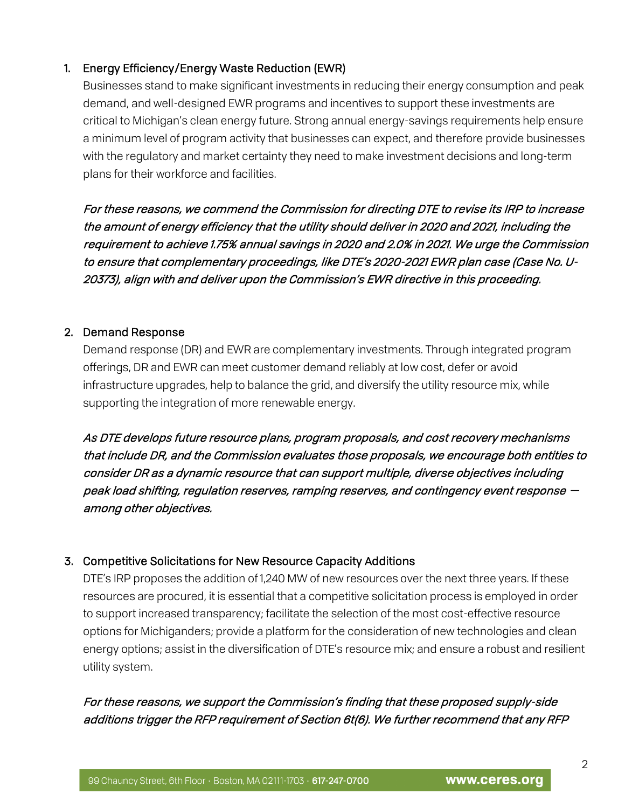### 1. Energy Efficiency/Energy Waste Reduction (EWR)

Businesses stand to make significant investments in reducing their energy consumption and peak demand, and well-designed EWR programs and incentives to support these investments are critical to Michigan's clean energy future. Strong annual energy-savings requirements help ensure a minimum level of program activity that businesses can expect, and therefore provide businesses with the regulatory and market certainty they need to make investment decisions and long-term plans for their workforce and facilities.

For these reasons, we commend the Commission for directing DTE to revise its IRP to increase the amount of energy efficiency that the utility should deliver in 2020 and 2021, including the requirement to achieve 1.75% annual savings in 2020 and 2.0% in 2021. We urge the Commission to ensure that complementary proceedings, like DTE's 2020-2021 EWR plan case (Case No. U-20373), align with and deliver upon the Commission's EWR directive in this proceeding.

### 2. Demand Response

Demand response (DR) and EWR are complementary investments. Through integrated program offerings, DR and EWR can meet customer demand reliably at low cost, defer or avoid infrastructure upgrades, help to balance the grid, and diversify the utility resource mix, while supporting the integration of more renewable energy.

As DTE develops future resource plans, program proposals, and cost recovery mechanisms that include DR, and the Commission evaluates those proposals, we encourage both entities to consider DR as a dynamic resource that can support multiple, diverse objectives including peak load shifting, regulation reserves, ramping reserves, and contingency event response  $$ among other objectives.

## 3. Competitive Solicitations for New Resource Capacity Additions

DTE's IRP proposes the addition of 1,240 MW of new resources over the next three years. If these resources are procured, it is essential that a competitive solicitation process is employed in order to support increased transparency; facilitate the selection of the most cost-effective resource options for Michiganders; provide a platform for the consideration of new technologies and clean energy options; assist in the diversification of DTE's resource mix; and ensure a robust and resilient utility system.

# For these reasons, we support the Commission's finding that these proposed supply-side additions trigger the RFP requirement of Section 6t(6). We further recommend that any RFP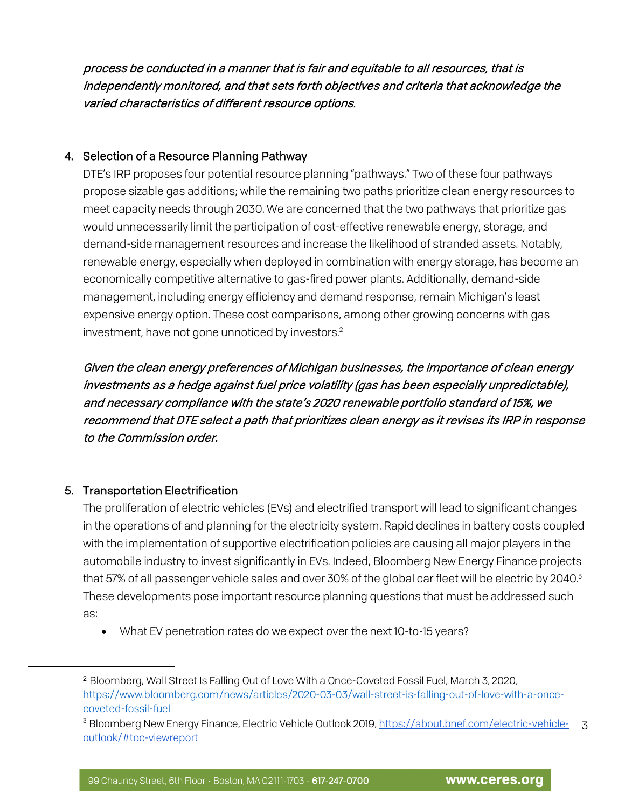process be conducted in a manner that is fair and equitable to all resources, that is independently monitored, and that sets forth objectives and criteria that acknowledge the varied characteristics of different resource options.

### 4. Selection of a Resource Planning Pathway

DTE's IRP proposes four potential resource planning "pathways." Two of these four pathways propose sizable gas additions; while the remaining two paths prioritize clean energy resources to meet capacity needs through 2030. We are concerned that the two pathways that prioritize gas would unnecessarily limit the participation of cost-effective renewable energy, storage, and demand-side management resources and increase the likelihood of stranded assets. Notably, renewable energy, especially when deployed in combination with energy storage, has become an economically competitive alternative to gas-fired power plants. Additionally, demand-side management, including energy efficiency and demand response, remain Michigan's least expensive energy option. These cost comparisons, among other growing concerns with gas investment, have not gone unnoticed by investors.<sup>2</sup>

Given the clean energy preferences of Michigan businesses, the importance of clean energy investments as a hedge against fuel price volatility (gas has been especially unpredictable), and necessary compliance with the state's 2020 renewable portfolio standard of 15%, we recommend that DTE select a path that prioritizes clean energy as it revises its IRP in response to the Commission order.

#### 5. Transportation Electrification

The proliferation of electric vehicles (EVs) and electrified transport will lead to significant changes in the operations of and planning for the electricity system. Rapid declines in battery costs coupled with the implementation of supportive electrification policies are causing all major players in the automobile industry to invest significantly in EVs. Indeed, Bloomberg New Energy Finance projects that 57% of all passenger vehicle sales and over 30% of the global car fleet will be electric by 2040.<sup>3</sup> These developments pose important resource planning questions that must be addressed such as:

• What EV penetration rates do we expect over the next 10-to-15 years?

<sup>2</sup> Bloomberg, Wall Street Is Falling Out of Love With a Once-Coveted Fossil Fuel, March 3, 2020, https://www.bloomberg.com/news/articles/2020-03-03/wall-street-is-falling-out-of-love-with-a-oncecoveted-fossil-fuel

<sup>3</sup> <sup>3</sup> Bloomberg New Energy Finance, Electric Vehicle Outlook 2019, https://about.bnef.com/electric-vehicleoutlook/#toc-viewreport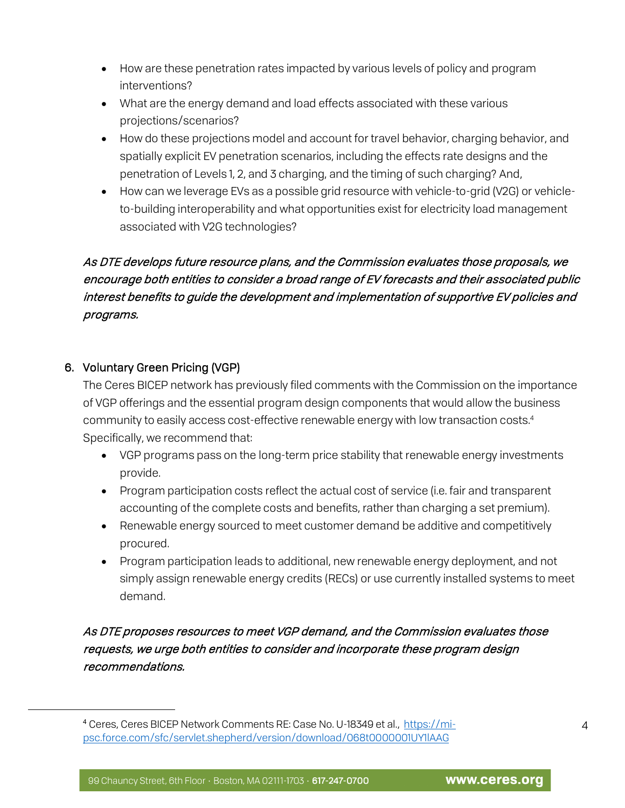- How are these penetration rates impacted by various levels of policy and program interventions?
- What are the energy demand and load effects associated with these various projections/scenarios?
- How do these projections model and account for travel behavior, charging behavior, and spatially explicit EV penetration scenarios, including the effects rate designs and the penetration of Levels 1, 2, and 3 charging, and the timing of such charging? And,
- How can we leverage EVs as a possible grid resource with vehicle-to-grid (V2G) or vehicleto-building interoperability and what opportunities exist for electricity load management associated with V2G technologies?

# As DTE develops future resource plans, and the Commission evaluates those proposals, we encourage both entities to consider a broad range of EV forecasts and their associated public interest benefits to guide the development and implementation of supportive EV policies and programs.

## 6. Voluntary Green Pricing (VGP)

-

The Ceres BICEP network has previously filed comments with the Commission on the importance of VGP offerings and the essential program design components that would allow the business community to easily access cost-effective renewable energy with low transaction costs.<sup>4</sup> Specifically, we recommend that:

- VGP programs pass on the long-term price stability that renewable energy investments provide.
- Program participation costs reflect the actual cost of service (i.e. fair and transparent accounting of the complete costs and benefits, rather than charging a set premium).
- Renewable energy sourced to meet customer demand be additive and competitively procured.
- Program participation leads to additional, new renewable energy deployment, and not simply assign renewable energy credits (RECs) or use currently installed systems to meet demand.

As DTE proposes resources to meet VGP demand, and the Commission evaluates those requests, we urge both entities to consider and incorporate these program design recommendations.

<sup>4</sup> Ceres, Ceres BICEP Network Comments RE: Case No. U-18349 et al., https://mipsc.force.com/sfc/servlet.shepherd/version/download/068t0000001UY1lAAG